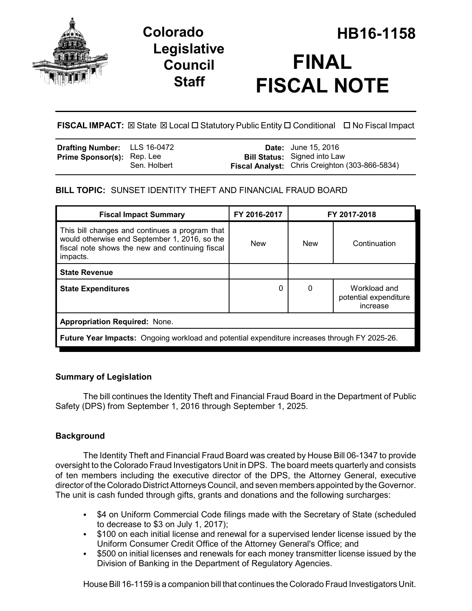

## **Legislative Council Staff**

# **Colorado HB16-1158 FINAL FISCAL NOTE**

**FISCAL IMPACT:** ⊠ State ⊠ Local □ Statutory Public Entity □ Conditional □ No Fiscal Impact

| <b>Drafting Number:</b> LLS 16-0472 |              | <b>Date:</b> June 15, 2016                            |
|-------------------------------------|--------------|-------------------------------------------------------|
| <b>Prime Sponsor(s):</b> Rep. Lee   |              | <b>Bill Status:</b> Signed into Law                   |
|                                     | Sen. Holbert | <b>Fiscal Analyst:</b> Chris Creighton (303-866-5834) |

### **BILL TOPIC:** SUNSET IDENTITY THEFT AND FINANCIAL FRAUD BOARD

| <b>Fiscal Impact Summary</b>                                                                                                                                   | FY 2016-2017 | FY 2017-2018 |                                                   |  |  |
|----------------------------------------------------------------------------------------------------------------------------------------------------------------|--------------|--------------|---------------------------------------------------|--|--|
| This bill changes and continues a program that<br>would otherwise end September 1, 2016, so the<br>fiscal note shows the new and continuing fiscal<br>impacts. | <b>New</b>   | <b>New</b>   | Continuation                                      |  |  |
| <b>State Revenue</b>                                                                                                                                           |              |              |                                                   |  |  |
| <b>State Expenditures</b>                                                                                                                                      | 0            | 0            | Workload and<br>potential expenditure<br>increase |  |  |
| <b>Appropriation Required: None.</b>                                                                                                                           |              |              |                                                   |  |  |
| <b>Future Year Impacts:</b> Ongoing workload and potential expenditure increases through FY 2025-26.                                                           |              |              |                                                   |  |  |

### **Summary of Legislation**

The bill continues the Identity Theft and Financial Fraud Board in the Department of Public Safety (DPS) from September 1, 2016 through September 1, 2025.

### **Background**

The Identity Theft and Financial Fraud Board was created by House Bill 06-1347 to provide oversight to the Colorado Fraud Investigators Unit in DPS. The board meets quarterly and consists of ten members including the executive director of the DPS, the Attorney General, executive director of the Colorado District Attorneys Council, and seven members appointed by the Governor. The unit is cash funded through gifts, grants and donations and the following surcharges:

- \$4 on Uniform Commercial Code filings made with the Secretary of State (scheduled to decrease to \$3 on July 1, 2017);
- \$100 on each initial license and renewal for a supervised lender license issued by the Uniform Consumer Credit Office of the Attorney General's Office; and
- $\bullet$  \$500 on initial licenses and renewals for each money transmitter license issued by the Division of Banking in the Department of Regulatory Agencies.

House Bill 16-1159 is a companion bill that continues the Colorado Fraud Investigators Unit.